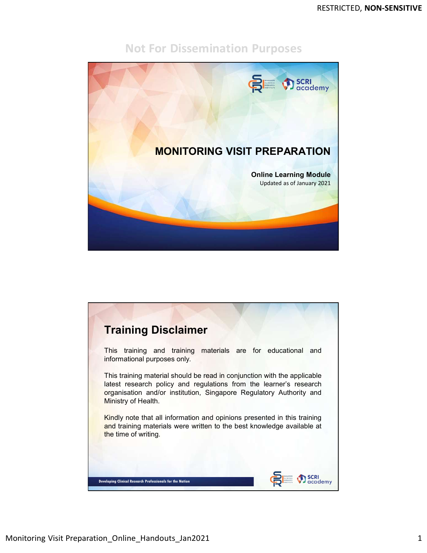

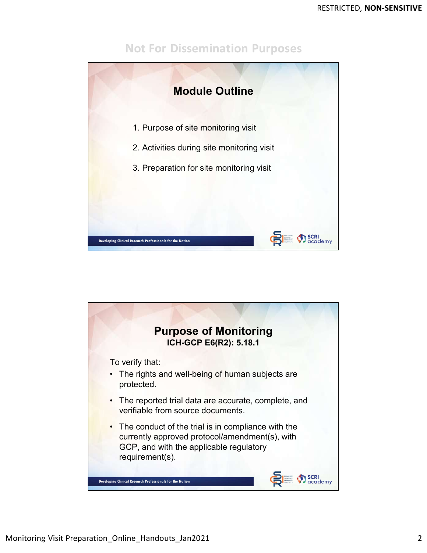

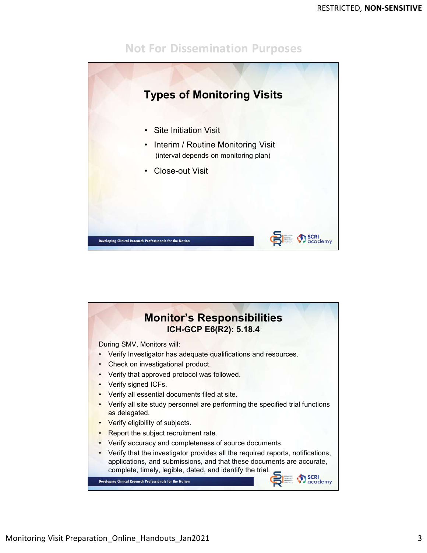

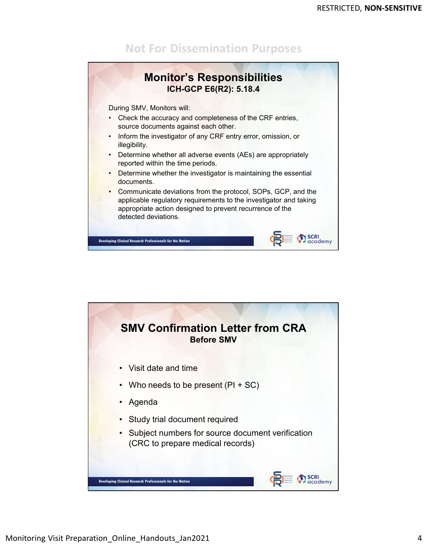

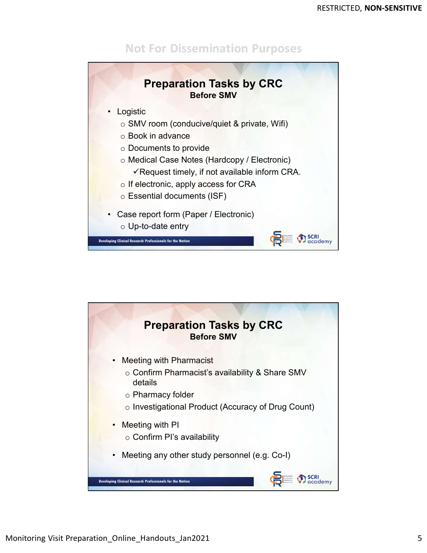



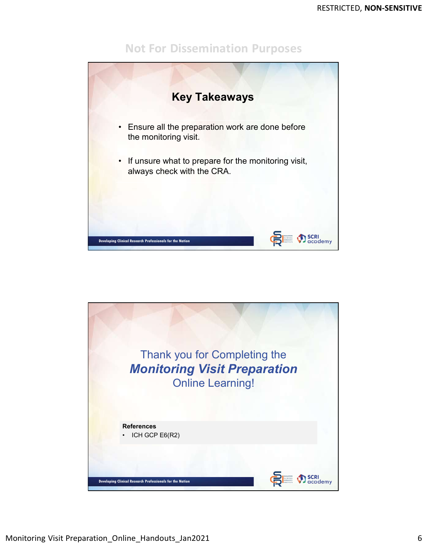